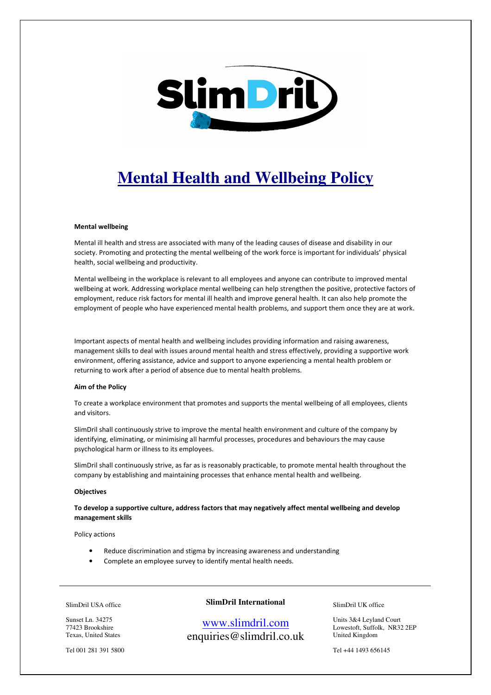

# **Mental Health and Wellbeing Policy**

#### Mental wellbeing

Mental ill health and stress are associated with many of the leading causes of disease and disability in our society. Promoting and protecting the mental wellbeing of the work force is important for individuals' physical health, social wellbeing and productivity.

Mental wellbeing in the workplace is relevant to all employees and anyone can contribute to improved mental wellbeing at work. Addressing workplace mental wellbeing can help strengthen the positive, protective factors of employment, reduce risk factors for mental ill health and improve general health. It can also help promote the employment of people who have experienced mental health problems, and support them once they are at work.

Important aspects of mental health and wellbeing includes providing information and raising awareness, management skills to deal with issues around mental health and stress effectively, providing a supportive work environment, offering assistance, advice and support to anyone experiencing a mental health problem or returning to work after a period of absence due to mental health problems.

#### Aim of the Policy

To create a workplace environment that promotes and supports the mental wellbeing of all employees, clients and visitors.

SlimDril shall continuously strive to improve the mental health environment and culture of the company by identifying, eliminating, or minimising all harmful processes, procedures and behaviours the may cause psychological harm or illness to its employees.

SlimDril shall continuously strive, as far as is reasonably practicable, to promote mental health throughout the company by establishing and maintaining processes that enhance mental health and wellbeing.

#### **Objectives**

To develop a supportive culture, address factors that may negatively affect mental wellbeing and develop management skills

Policy actions

- Reduce discrimination and stigma by increasing awareness and understanding
- Complete an employee survey to identify mental health needs.

#### SlimDril USA office

**SlimDril International** 

Sunset Ln. 34275 77423 Brookshire Texas, United States

Tel 001 281 391 5800

# www.slimdril.com enquiries@slimdril.co.uk

SlimDril UK office

Units 3&4 Leyland Court Lowestoft, Suffolk, NR32 2EP United Kingdom

Tel +44 1493 656145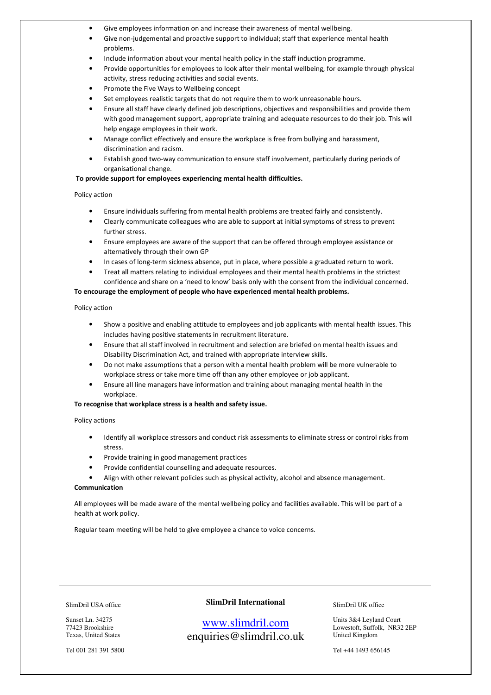- Give employees information on and increase their awareness of mental wellbeing.
- Give non-judgemental and proactive support to individual; staff that experience mental health problems.
- Include information about your mental health policy in the staff induction programme.
- Provide opportunities for employees to look after their mental wellbeing, for example through physical activity, stress reducing activities and social events.
- Promote the Five Ways to Wellbeing concept
- Set employees realistic targets that do not require them to work unreasonable hours.
- Ensure all staff have clearly defined job descriptions, objectives and responsibilities and provide them with good management support, appropriate training and adequate resources to do their job. This will help engage employees in their work.
- Manage conflict effectively and ensure the workplace is free from bullying and harassment, discrimination and racism.
- Establish good two-way communication to ensure staff involvement, particularly during periods of organisational change.

#### To provide support for employees experiencing mental health difficulties.

#### Policy action

- Ensure individuals suffering from mental health problems are treated fairly and consistently.
- Clearly communicate colleagues who are able to support at initial symptoms of stress to prevent further stress.
- Ensure employees are aware of the support that can be offered through employee assistance or alternatively through their own GP
- In cases of long-term sickness absence, put in place, where possible a graduated return to work.
- Treat all matters relating to individual employees and their mental health problems in the strictest confidence and share on a 'need to know' basis only with the consent from the individual concerned.

#### To encourage the employment of people who have experienced mental health problems.

#### Policy action

- Show a positive and enabling attitude to employees and job applicants with mental health issues. This includes having positive statements in recruitment literature.
- Ensure that all staff involved in recruitment and selection are briefed on mental health issues and Disability Discrimination Act, and trained with appropriate interview skills.
- Do not make assumptions that a person with a mental health problem will be more vulnerable to workplace stress or take more time off than any other employee or job applicant.
- Ensure all line managers have information and training about managing mental health in the workplace.

#### To recognise that workplace stress is a health and safety issue.

#### Policy actions

- Identify all workplace stressors and conduct risk assessments to eliminate stress or control risks from stress.
- Provide training in good management practices
- Provide confidential counselling and adequate resources.
- Align with other relevant policies such as physical activity, alcohol and absence management.

#### Communication

All employees will be made aware of the mental wellbeing policy and facilities available. This will be part of a health at work policy.

Regular team meeting will be held to give employee a chance to voice concerns.

SlimDril USA office

Sunset Ln. 34275 77423 Brookshire Texas, United States

Tel 001 281 391 5800

### **SlimDril International**

# www.slimdril.com enquiries@slimdril.co.uk

SlimDril UK office

Units 3&4 Leyland Court Lowestoft, Suffolk, NR32 2EP United Kingdom

Tel +44 1493 656145